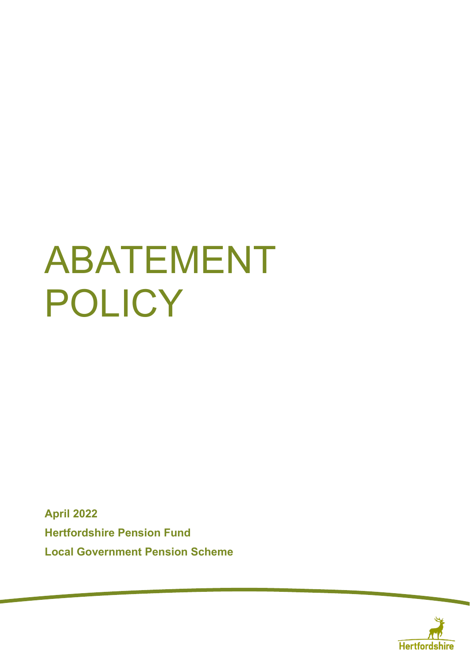# ABATEMENT POLICY

**April 2022 Hertfordshire Pension Fund Local Government Pension Scheme**

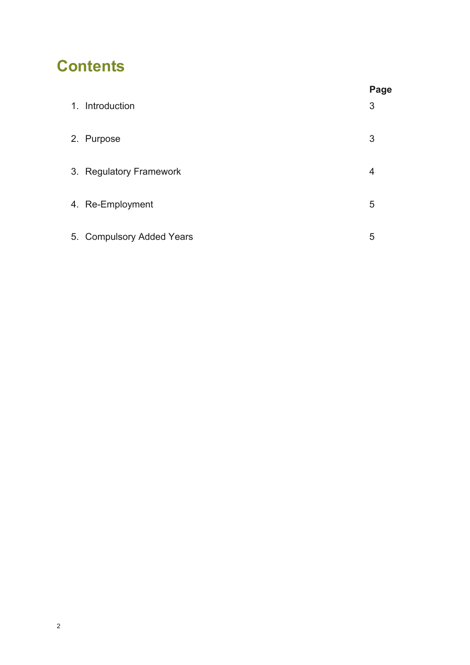## **Contents**

|                           | Page |
|---------------------------|------|
| 1. Introduction           | 3    |
| 2. Purpose                | 3    |
| 3. Regulatory Framework   | 4    |
| 4. Re-Employment          | 5    |
| 5. Compulsory Added Years | 5    |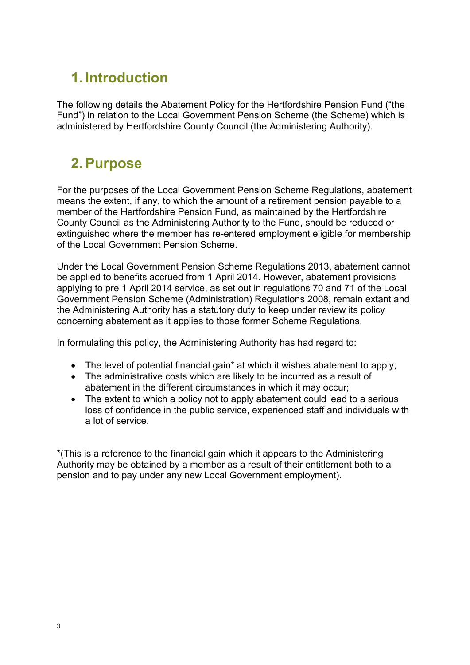## **1. Introduction**

The following details the Abatement Policy for the Hertfordshire Pension Fund ("the Fund") in relation to the Local Government Pension Scheme (the Scheme) which is administered by Hertfordshire County Council (the Administering Authority).

#### **2. Purpose**

For the purposes of the Local Government Pension Scheme Regulations, abatement means the extent, if any, to which the amount of a retirement pension payable to a member of the Hertfordshire Pension Fund, as maintained by the Hertfordshire County Council as the Administering Authority to the Fund, should be reduced or extinguished where the member has re-entered employment eligible for membership of the Local Government Pension Scheme.

Under the Local Government Pension Scheme Regulations 2013, abatement cannot be applied to benefits accrued from 1 April 2014. However, abatement provisions applying to pre 1 April 2014 service, as set out in regulations 70 and 71 of the Local Government Pension Scheme (Administration) Regulations 2008, remain extant and the Administering Authority has a statutory duty to keep under review its policy concerning abatement as it applies to those former Scheme Regulations.

In formulating this policy, the Administering Authority has had regard to:

- The level of potential financial gain\* at which it wishes abatement to apply;
- The administrative costs which are likely to be incurred as a result of abatement in the different circumstances in which it may occur;
- The extent to which a policy not to apply abatement could lead to a serious loss of confidence in the public service, experienced staff and individuals with a lot of service.

\*(This is a reference to the financial gain which it appears to the Administering Authority may be obtained by a member as a result of their entitlement both to a pension and to pay under any new Local Government employment).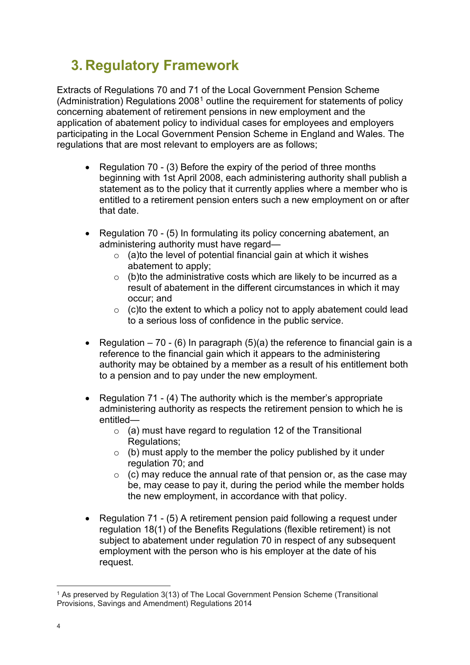## **3. Regulatory Framework**

Extracts of Regulations 70 and 71 of the Local Government Pension Scheme (Administration) Regulations 2008[1](#page-3-0) outline the requirement for statements of policy concerning abatement of retirement pensions in new employment and the application of abatement policy to individual cases for employees and employers participating in the Local Government Pension Scheme in England and Wales. The regulations that are most relevant to employers are as follows;

- Regulation 70 (3) Before the expiry of the period of three months beginning with 1st April 2008, each administering authority shall publish a statement as to the policy that it currently applies where a member who is entitled to a retirement pension enters such a new employment on or after that date.
- Regulation 70 (5) In formulating its policy concerning abatement, an administering authority must have regard—
	- $\circ$  (a)to the level of potential financial gain at which it wishes abatement to apply;
	- $\circ$  (b)to the administrative costs which are likely to be incurred as a result of abatement in the different circumstances in which it may occur; and
	- $\circ$  (c)to the extent to which a policy not to apply abatement could lead to a serious loss of confidence in the public service.
- Regulation 70 (6) In paragraph (5)(a) the reference to financial gain is a reference to the financial gain which it appears to the administering authority may be obtained by a member as a result of his entitlement both to a pension and to pay under the new employment.
- Regulation 71 (4) The authority which is the member's appropriate administering authority as respects the retirement pension to which he is entitled—
	- $\circ$  (a) must have regard to regulation 12 of the Transitional Regulations;
	- $\circ$  (b) must apply to the member the policy published by it under regulation 70; and
	- $\circ$  (c) may reduce the annual rate of that pension or, as the case may be, may cease to pay it, during the period while the member holds the new employment, in accordance with that policy.
- Regulation 71 (5) A retirement pension paid following a request under regulation 18(1) of the Benefits Regulations (flexible retirement) is not subject to abatement under regulation 70 in respect of any subsequent employment with the person who is his employer at the date of his request.

<span id="page-3-0"></span><sup>1</sup> As preserved by Regulation 3(13) of The Local Government Pension Scheme (Transitional Provisions, Savings and Amendment) Regulations 2014